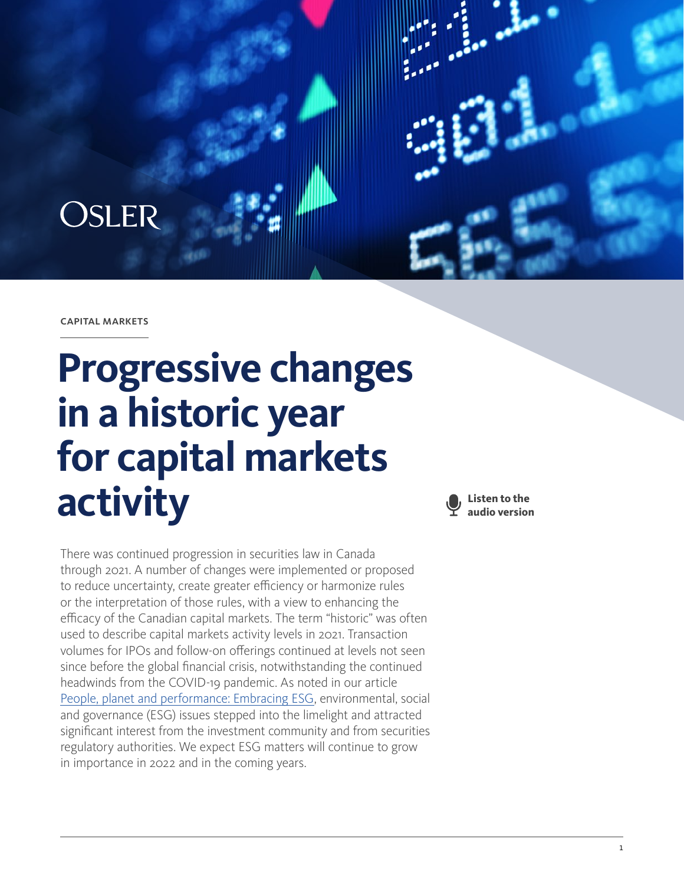

capital markets

## **Progressive changes in a historic year for capital markets activity**

There was continued progression in securities law in Canada through 2021. A number of changes were implemented or proposed to reduce uncertainty, create greater efficiency or harmonize rules or the interpretation of those rules, with a view to enhancing the efficacy of the Canadian capital markets. The term "historic" was often used to describe capital markets activity levels in 2021. Transaction volumes for IPOs and follow-on offerings continued at levels not seen since before the global financial crisis, notwithstanding the continued headwinds from the COVID-19 pandemic. As noted in our article [People, planet and performance: Embracing ESG](https://legalyearinreview.ca/people-planet-and-performance-embracing-esg/), environmental, social and governance (ESG) issues stepped into the limelight and attracted significant interest from the investment community and from securities regulatory authorities. We expect ESG matters will continue to grow in importance in 2022 and in the coming years.

**Listen to the audio version**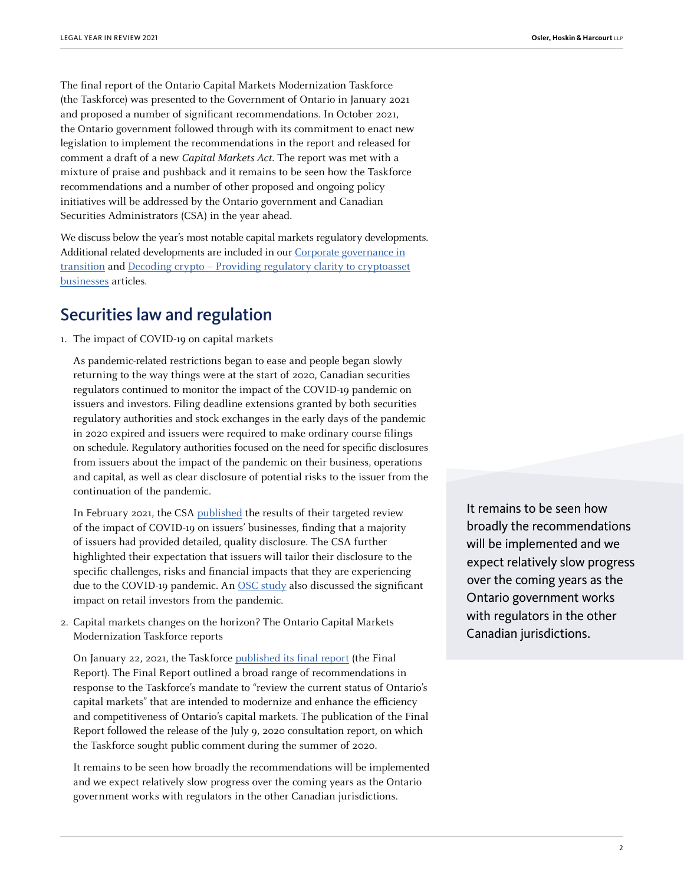The final report of the Ontario Capital Markets Modernization Taskforce (the Taskforce) was presented to the Government of Ontario in January 2021 and proposed a number of significant recommendations. In October 2021, the Ontario government followed through with its commitment to enact new legislation to implement the recommendations in the report and released for comment a draft of a new Capital Markets Act. The report was met with a mixture of praise and pushback and it remains to be seen how the Taskforce recommendations and a number of other proposed and ongoing policy initiatives will be addressed by the Ontario government and Canadian Securities Administrators (CSA) in the year ahead.

We discuss below the year's most notable capital markets regulatory developments. Additional related developments are included in our [Corporate governance in](https://legalyearinreview.ca/corporate-governance-in-transition/) [transition](https://legalyearinreview.ca/corporate-governance-in-transition/) and [Decoding crypto – Providing regulatory clarity to cryptoasset](https://legalyearinreview.ca/decoding-crypto-providing-regulatory-clarity-to-cryptoasset-businesses/) [businesses](https://legalyearinreview.ca/decoding-crypto-providing-regulatory-clarity-to-cryptoasset-businesses/) articles.

## Securities law and regulation

1. The impact of COVID-19 on capital markets

As pandemic-related restrictions began to ease and people began slowly returning to the way things were at the start of 2020, Canadian securities regulators continued to monitor the impact of the COVID-19 pandemic on issuers and investors. Filing deadline extensions granted by both securities regulatory authorities and stock exchanges in the early days of the pandemic in 2020 expired and issuers were required to make ordinary course filings on schedule. Regulatory authorities focused on the need for specific disclosures from issuers about the impact of the pandemic on their business, operations and capital, as well as clear disclosure of potential risks to the issuer from the continuation of the pandemic.

In February 2021, the CSA [published](https://www.osc.ca/sites/default/files/2021-02/csa_20210225_51-362_staff-review-covid19.pdf) the results of their targeted review of the impact of COVID-19 on issuers' businesses, finding that a majority of issuers had provided detailed, quality disclosure. The CSA further highlighted their expectation that issuers will tailor their disclosure to the specific challenges, risks and financial impacts that they are experiencing due to the COVID-19 pandemic. An [OSC study](https://www.osc.ca/en/news-events/news/osc-study-finds-pandemic-has-significant-impact-retail-investors) also discussed the significant impact on retail investors from the pandemic.

2. Capital markets changes on the horizon? The Ontario Capital Markets Modernization Taskforce reports

On January 22, 2021, the Taskforce [published its final report](https://www.ontario.ca/document/capital-markets-modernization-taskforce-final-report-january-2021) (the Final Report). The Final Report outlined a broad range of recommendations in response to the Taskforce's mandate to "review the current status of Ontario's capital markets" that are intended to modernize and enhance the efficiency and competitiveness of Ontario's capital markets. The publication of the Final Report followed the release of the July 9, 2020 consultation report, on which the Taskforce sought public comment during the summer of 2020.

It remains to be seen how broadly the recommendations will be implemented and we expect relatively slow progress over the coming years as the Ontario government works with regulators in the other Canadian jurisdictions.

It remains to be seen how broadly the recommendations will be implemented and we expect relatively slow progress over the coming years as the Ontario government works with regulators in the other Canadian jurisdictions.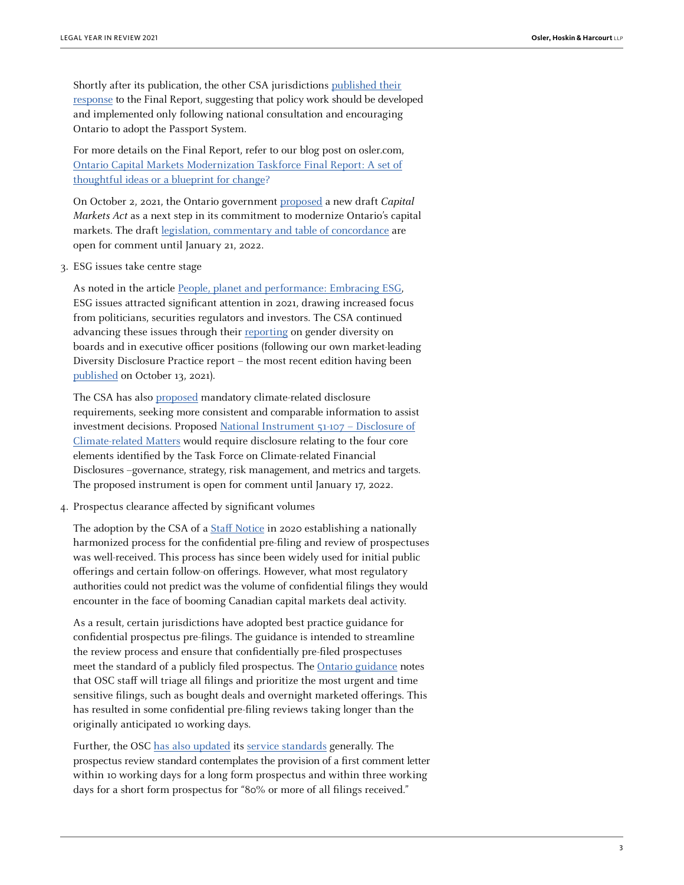Shortly after its publication, the other CSA jurisdictions [published their](https://www.securities-administrators.ca/news/canadian-securities-regulators-respond-to-the-modernization-taskforce-final-report-and-encourage-a-harmonized-regulatory-system-that-protects-investors-and-reduces-unnecessary-burden/) [response](https://www.securities-administrators.ca/news/canadian-securities-regulators-respond-to-the-modernization-taskforce-final-report-and-encourage-a-harmonized-regulatory-system-that-protects-investors-and-reduces-unnecessary-burden/) to the Final Report, suggesting that policy work should be developed and implemented only following national consultation and encouraging Ontario to adopt the Passport System.

For more details on the Final Report, refer to our blog post on osler.com, [Ontario Capital Markets Modernization Taskforce Final Report: A set of](https://www.osler.com/en/blogs/risk/february-2021/ontario-capital-markets-modernization-taskforce-final-report-a-set-of-thoughtful-ideas-or-a-bluepri) [thoughtful ideas or a blueprint for change?](https://www.osler.com/en/blogs/risk/february-2021/ontario-capital-markets-modernization-taskforce-final-report-a-set-of-thoughtful-ideas-or-a-bluepri)

On October 2, 2021, the Ontario government [proposed](https://news.ontario.ca/en/release/1000958/ontario-seeking-input-on-a-capital-markets-act) a new draft Capital Markets Act as a next step in its commitment to modernize Ontario's capital markets. The draft [legislation, commentary and table of concordance](https://www.ontariocanada.com/registry/view.do?postingId=38527&language=en) are open for comment until January 21, 2022.

3. ESG issues take centre stage

As noted in the article [People, planet and performance: Embracing ESG](https://legalyearinreview.ca/people-planet-and-performance-embracing-esg/), ESG issues attracted significant attention in 2021, drawing increased focus from politicians, securities regulators and investors. The CSA continued advancing these issues through their [reporting](https://www.securities-administrators.ca/news/canadian-securities-regulators-announce-results-of-seventh-annual-review-of-representation-of-women-on-boards-and-in-executive-officer-positions-in-canada/) on gender diversity on boards and in executive officer positions (following our own market-leading Diversity Disclosure Practice report – the most recent edition having been [published](https://www.osler.com/en/resources/governance/2021/diversity-disclosure-practices-reports-2015-to-today) on October 13, 2021).

The CSA has also [proposed](https://www.osc.ca/en/news-events/news/canadian-securities-regulators-seek-comment-climate-related-disclosure-requirements) mandatory climate-related disclosure requirements, seeking more consistent and comparable information to assist investment decisions. Proposed [National Instrument 51-107 – Disclosure of](https://www.osc.ca/sites/default/files/2021-10/csa_20211018_51-107_disclosure-update.pdf) [Climate-related Matters](https://www.osc.ca/sites/default/files/2021-10/csa_20211018_51-107_disclosure-update.pdf) would require disclosure relating to the four core elements identified by the Task Force on Climate-related Financial Disclosures –governance, strategy, risk management, and metrics and targets. The proposed instrument is open for comment until January 17, 2022.

4. Prospectus clearance affected by significant volumes

The adoption by the CSA of a [Staff Notice](https://www.securities-administrators.ca/aboutcsa.aspx?id=1874) in 2020 establishing a nationally harmonized process for the confidential pre-filing and review of prospectuses was well-received. This process has since been widely used for initial public offerings and certain follow-on offerings. However, what most regulatory authorities could not predict was the volume of confidential filings they would encounter in the face of booming Canadian capital markets deal activity.

As a result, certain jurisdictions have adopted best practice guidance for confidential prospectus pre-filings. The guidance is intended to streamline the review process and ensure that confidentially pre-filed prospectuses meet the standard of a publicly filed prospectus. The [Ontario guidance](https://www.osc.ca/en/news-events/news/osc-issues-best-practice-guidance-prospectus-filings) notes that OSC staff will triage all filings and prioritize the most urgent and time sensitive filings, such as bought deals and overnight marketed offerings. This has resulted in some confidential pre-filing reviews taking longer than the originally anticipated 10 working days.

Further, the OSC [has also updated](https://www.osc.ca/en/news-events/news/osc-publishes-updated-service-standards) its [service standards](https://www.osc.ca/en/about-us/accountability/osc-service-commitment) generally. The prospectus review standard contemplates the provision of a first comment letter within 10 working days for a long form prospectus and within three working days for a short form prospectus for "80% or more of all filings received."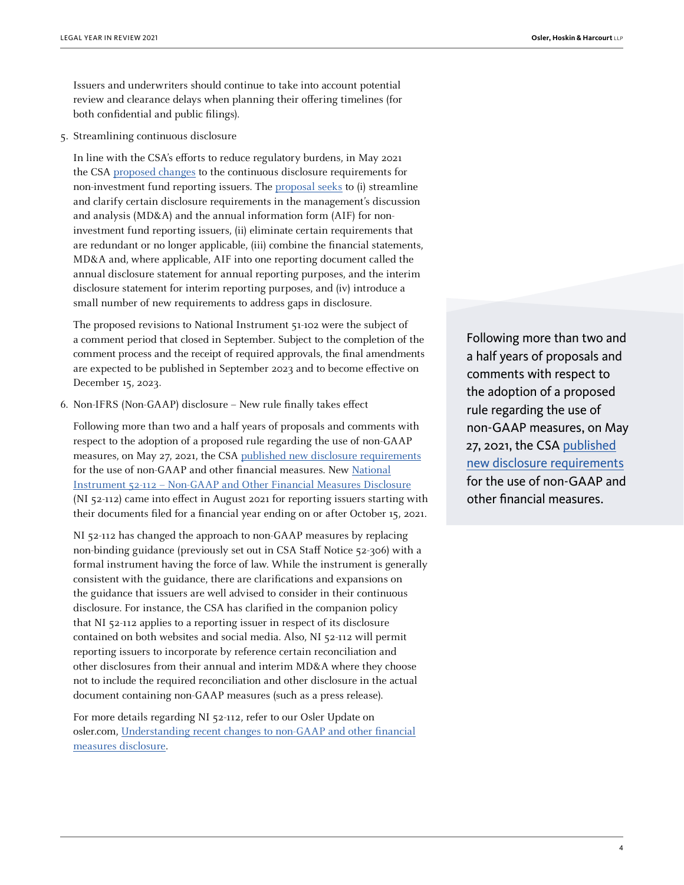Issuers and underwriters should continue to take into account potential review and clearance delays when planning their offering timelines (for both confidential and public filings).

5. Streamlining continuous disclosure

In line with the CSA's efforts to reduce regulatory burdens, in May 2021 the CSA [proposed changes](https://www.securities-administrators.ca/news/canadian-securities-regulators-seek-comment-on-proposal-to-streamline-continuous-disclosure-requirements/) to the continuous disclosure requirements for non-investment fund reporting issuers. The [proposal seeks](https://www.osc.ca/en/securities-law/instruments-rules-policies/5/51-102/proposed-amendments-national-instrument-51-102-continuous-disclosure-obligations-and-other) to (i) streamline and clarify certain disclosure requirements in the management's discussion and analysis (MD&A) and the annual information form (AIF) for noninvestment fund reporting issuers, (ii) eliminate certain requirements that are redundant or no longer applicable, (iii) combine the financial statements, MD&A and, where applicable, AIF into one reporting document called the annual disclosure statement for annual reporting purposes, and the interim disclosure statement for interim reporting purposes, and (iv) introduce a small number of new requirements to address gaps in disclosure.

The proposed revisions to National Instrument 51-102 were the subject of a comment period that closed in September. Subject to the completion of the comment process and the receipt of required approvals, the final amendments are expected to be published in September 2023 and to become effective on December 15, 2023.

6. Non-IFRS (Non-GAAP) disclosure – New rule finally takes effect

Following more than two and a half years of proposals and comments with respect to the adoption of a proposed rule regarding the use of non-GAAP measures, on May 27, 2021, the CSA [published new disclosure requirements](https://www.securities-administrators.ca/news/canadian-securities-regulators-publish-final-rule-for-non-gaap-and-other-financial-measures/) for the use of non-GAAP and other financial measures. New [National](https://www.osc.ca/sites/default/files/2021-05/csa_20210527_52-112_non-gaap.pdf) [Instrument 52-112 – Non-GAAP and Other Financial Measures Disclosure](https://www.osc.ca/sites/default/files/2021-05/csa_20210527_52-112_non-gaap.pdf) (NI 52-112) came into effect in August 2021 for reporting issuers starting with their documents filed for a financial year ending on or after October 15, 2021.

NI 52-112 has changed the approach to non-GAAP measures by replacing non-binding guidance (previously set out in CSA Staff Notice 52-306) with a formal instrument having the force of law. While the instrument is generally consistent with the guidance, there are clarifications and expansions on the guidance that issuers are well advised to consider in their continuous disclosure. For instance, the CSA has clarified in the companion policy that NI 52-112 applies to a reporting issuer in respect of its disclosure contained on both websites and social media. Also, NI 52-112 will permit reporting issuers to incorporate by reference certain reconciliation and other disclosures from their annual and interim MD&A where they choose not to include the required reconciliation and other disclosure in the actual document containing non-GAAP measures (such as a press release).

For more details regarding NI 52-112, refer to our Osler Update on osler.com, [Understanding recent changes to non-GAAP and other financial](https://www.osler.com/en/resources/regulations/2021/understanding-recent-changes-to-non-gaap-and-other-financial-measure-disclosure) [measures disclosure](https://www.osler.com/en/resources/regulations/2021/understanding-recent-changes-to-non-gaap-and-other-financial-measure-disclosure).

Following more than two and a half years of proposals and comments with respect to the adoption of a proposed rule regarding the use of non-GAAP measures, on May 27, 2021, the CSA [published](https://www.securities-administrators.ca/news/canadian-securities-regulators-publish-final-rule-for-non-gaap-and-other-financial-measures/) [new disclosure requirements](https://www.securities-administrators.ca/news/canadian-securities-regulators-publish-final-rule-for-non-gaap-and-other-financial-measures/) for the use of non-GAAP and other financial measures.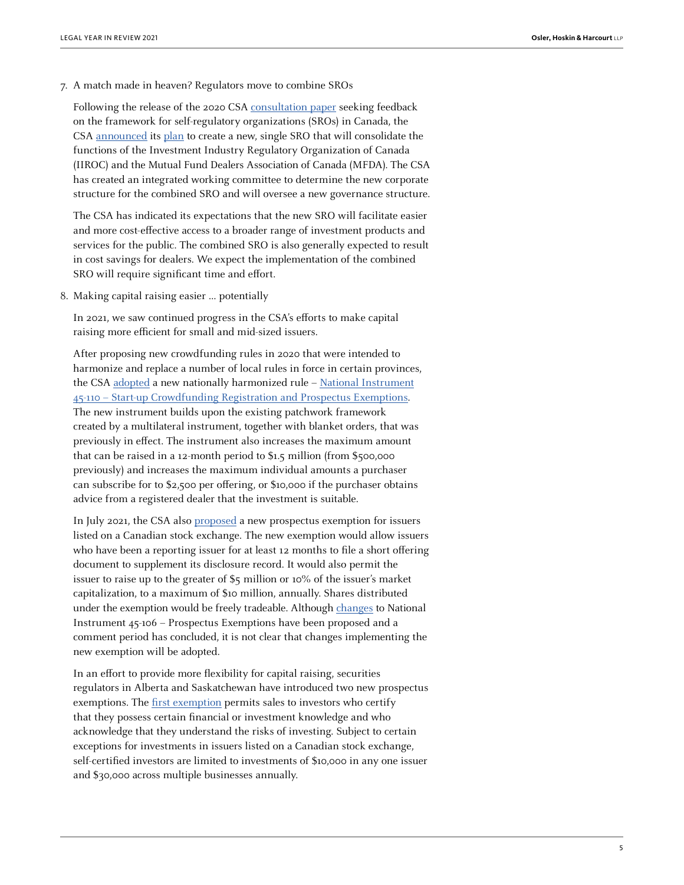7. A match made in heaven? Regulators move to combine SROs

Following the release of the 2020 CSA [consultation paper](https://www.securities-administrators.ca/aboutcsa.aspx?id=1937) seeking feedback on the framework for self-regulatory organizations (SROs) in Canada, the CSA [announced](https://www.securities-administrators.ca/news/canadian-securities-regulators-to-establish-new-single-enhanced-self-regulatory-organization/) its [plan](https://www.securities-administrators.ca/wp-content/uploads/2021/10/CSA-Position-Paper-on-SRO-Framework-Final-with-Appendices.pdf) to create a new, single SRO that will consolidate the functions of the Investment Industry Regulatory Organization of Canada (IIROC) and the Mutual Fund Dealers Association of Canada (MFDA). The CSA has created an integrated working committee to determine the new corporate structure for the combined SRO and will oversee a new governance structure.

The CSA has indicated its expectations that the new SRO will facilitate easier and more cost-effective access to a broader range of investment products and services for the public. The combined SRO is also generally expected to result in cost savings for dealers. We expect the implementation of the combined SRO will require significant time and effort.

8. Making capital raising easier … potentially

In 2021, we saw continued progress in the CSA's efforts to make capital raising more efficient for small and mid-sized issuers.

After proposing new crowdfunding rules in 2020 that were intended to harmonize and replace a number of local rules in force in certain provinces, the CSA [adopted](https://www.securities-administrators.ca/news/canadian-securities-regulators-adopt-new-nationally-harmonized-start-up-crowdfunding-rules/) a new nationally harmonized rule – [National Instrument](https://www.osc.ca/en/securities-law/instruments-rules-policies/4/45-110/csa-notice-publication-national-instrument-45-110-start-crowdfunding-registration-and-prospectus) [45-110 – Start-up Crowdfunding Registration and Prospectus Exemptions](https://www.osc.ca/en/securities-law/instruments-rules-policies/4/45-110/csa-notice-publication-national-instrument-45-110-start-crowdfunding-registration-and-prospectus). The new instrument builds upon the existing patchwork framework created by a multilateral instrument, together with blanket orders, that was previously in effect. The instrument also increases the maximum amount that can be raised in a 12-month period to \$1.5 million (from \$500,000 previously) and increases the maximum individual amounts a purchaser can subscribe for to \$2,500 per offering, or \$10,000 if the purchaser obtains advice from a registered dealer that the investment is suitable.

In July 2021, the CSA also [proposed](https://www.securities-administrators.ca/news/canadian-securities-regulators-propose-streamlined-capital-raising-option-for-canadian-listed-issuers/) a new prospectus exemption for issuers listed on a Canadian stock exchange. The new exemption would allow issuers who have been a reporting issuer for at least 12 months to file a short offering document to supplement its disclosure record. It would also permit the issuer to raise up to the greater of \$5 million or 10% of the issuer's market capitalization, to a maximum of \$10 million, annually. Shares distributed under the exemption would be freely tradeable. Although [changes](https://www.osc.ca/en/securities-law/instruments-rules-policies/4/45-106/csa-notice-and-request-comment-proposed-amendments-national-instrument-45-106-prospectus) to National Instrument 45-106 – Prospectus Exemptions have been proposed and a comment period has concluded, it is not clear that changes implementing the new exemption will be adopted.

In an effort to provide more flexibility for capital raising, securities regulators in Alberta and Saskatchewan have introduced two new prospectus exemptions. The [first exemption](https://www.securities-administrators.ca/news/alberta-and-saskatchewan-securities-regulators-adopt-new-self-certified-investor-prospectus-exemption/) permits sales to investors who certify that they possess certain financial or investment knowledge and who acknowledge that they understand the risks of investing. Subject to certain exceptions for investments in issuers listed on a Canadian stock exchange, self-certified investors are limited to investments of \$10,000 in any one issuer and \$30,000 across multiple businesses annually.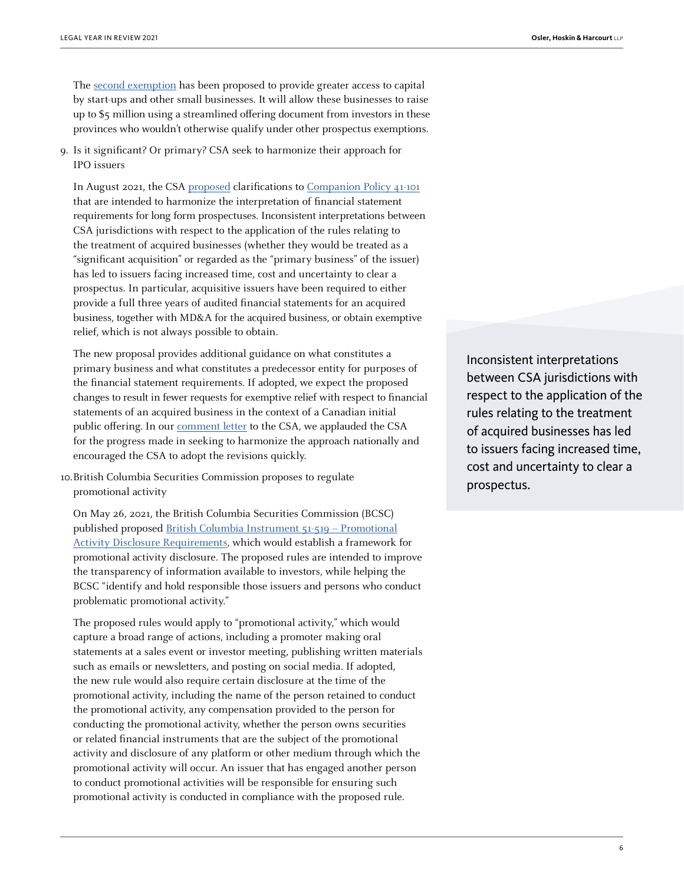The [second exemption](https://www.securities-administrators.ca/news/alberta-and-saskatchewan-securities-regulators-seek-comment-on-proposed-new-small-business-financing-initiative/) has been proposed to provide greater access to capital by start-ups and other small businesses. It will allow these businesses to raise up to \$5 million using a streamlined offering document from investors in these provinces who wouldn't otherwise qualify under other prospectus exemptions.

9. Is it significant? Or primary? CSA seek to harmonize their approach for IPO issuers

In August 2021, the CSA [proposed](https://www.securities-administrators.ca/news/canadian-securities-regulators-seek-comments-on-proposal-to-harmonize-the-interpretation-of-the-primary-business-requirements/) clarifications to [Companion Policy 41-101](https://www.osc.ca/sites/default/files/2021-08/ni_20210812_41-101_financial-statement-requirements.pdf) that are intended to harmonize the interpretation of financial statement requirements for long form prospectuses. Inconsistent interpretations between CSA jurisdictions with respect to the application of the rules relating to the treatment of acquired businesses (whether they would be treated as a "significant acquisition" or regarded as the "primary business" of the issuer) has led to issuers facing increased time, cost and uncertainty to clear a prospectus. In particular, acquisitive issuers have been required to either provide a full three years of audited financial statements for an acquired business, together with MD&A for the acquired business, or obtain exemptive relief, which is not always possible to obtain.

The new proposal provides additional guidance on what constitutes a primary business and what constitutes a predecessor entity for purposes of the financial statement requirements. If adopted, we expect the proposed changes to result in fewer requests for exemptive relief with respect to financial statements of an acquired business in the context of a Canadian initial public offering. In our **[comment letter](https://www.osc.ca/sites/default/files/2021-10/com_20211011_41-101_osler-hoskin-harcourt.pdf)** to the CSA, we applauded the CSA for the progress made in seeking to harmonize the approach nationally and encouraged the CSA to adopt the revisions quickly.

10.British Columbia Securities Commission proposes to regulate promotional activity

On May 26, 2021, the British Columbia Securities Commission (BCSC) published proposed [British Columbia Instrument 51-519 – Promotional](https://www.bcsc.bc.ca/-/media/PWS/New-Resources/Securities-Law/Instruments-and-Policies/Policy-5/51519-BCI-Proposed-May-26-2021.pdf) [Activity Disclosure Requirements](https://www.bcsc.bc.ca/-/media/PWS/New-Resources/Securities-Law/Instruments-and-Policies/Policy-5/51519-BCI-Proposed-May-26-2021.pdf), which would establish a framework for promotional activity disclosure. The proposed rules are intended to improve the transparency of information available to investors, while helping the BCSC "identify and hold responsible those issuers and persons who conduct problematic promotional activity."

The proposed rules would apply to "promotional activity," which would capture a broad range of actions, including a promoter making oral statements at a sales event or investor meeting, publishing written materials such as emails or newsletters, and posting on social media. If adopted, the new rule would also require certain disclosure at the time of the promotional activity, including the name of the person retained to conduct the promotional activity, any compensation provided to the person for conducting the promotional activity, whether the person owns securities or related financial instruments that are the subject of the promotional activity and disclosure of any platform or other medium through which the promotional activity will occur. An issuer that has engaged another person to conduct promotional activities will be responsible for ensuring such promotional activity is conducted in compliance with the proposed rule.

Inconsistent interpretations between CSA jurisdictions with respect to the application of the rules relating to the treatment of acquired businesses has led to issuers facing increased time, cost and uncertainty to clear a prospectus.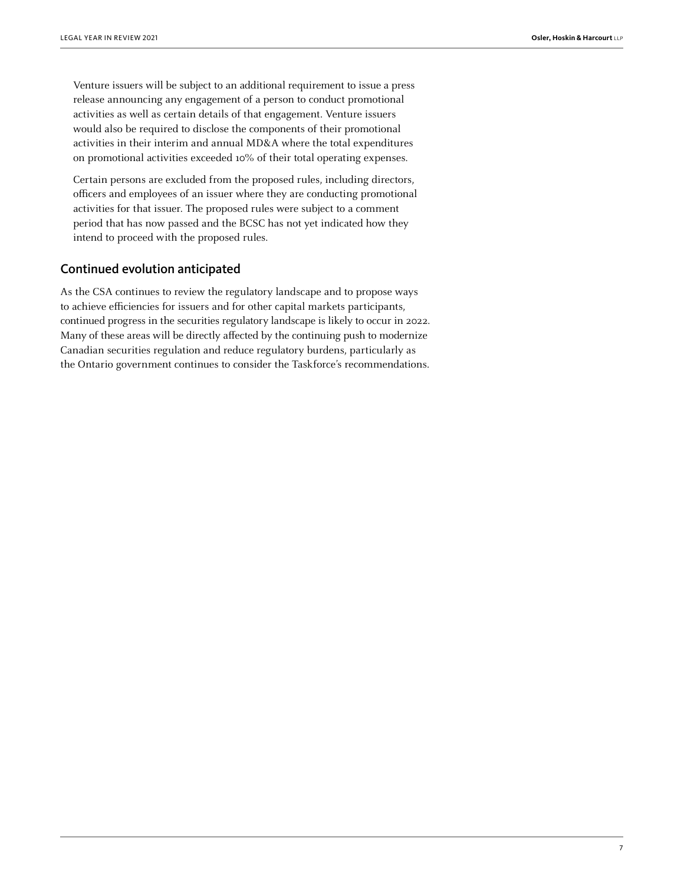Venture issuers will be subject to an additional requirement to issue a press release announcing any engagement of a person to conduct promotional activities as well as certain details of that engagement. Venture issuers would also be required to disclose the components of their promotional activities in their interim and annual MD&A where the total expenditures on promotional activities exceeded 10% of their total operating expenses.

Certain persons are excluded from the proposed rules, including directors, officers and employees of an issuer where they are conducting promotional activities for that issuer. The proposed rules were subject to a comment period that has now passed and the BCSC has not yet indicated how they intend to proceed with the proposed rules.

## Continued evolution anticipated

As the CSA continues to review the regulatory landscape and to propose ways to achieve efficiencies for issuers and for other capital markets participants, continued progress in the securities regulatory landscape is likely to occur in 2022. Many of these areas will be directly affected by the continuing push to modernize Canadian securities regulation and reduce regulatory burdens, particularly as the Ontario government continues to consider the Taskforce's recommendations.